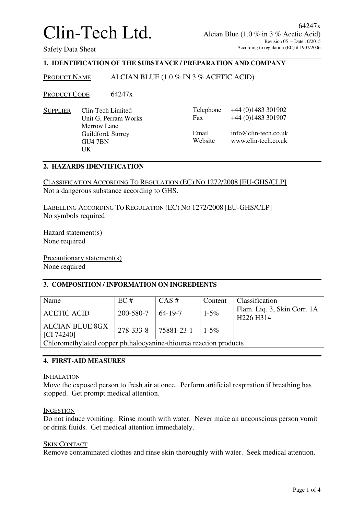## **1. IDENTIFICATION OF THE SUBSTANCE / PREPARATION AND COMPANY**

PRODUCT NAME ALCIAN BLUE (1.0 % IN 3 % ACETIC ACID)

PRODUCT CODE 64247x

SUPPLIER Clin-Tech Limited Unit G, Perram Works Merrow Lane Guildford, Surrey GU4 7BN UK

| Telephone | $+44(0)1483301902$   |
|-----------|----------------------|
| Fax       | +44 (0)1483 301907   |
| Email     | info@clin-tech.co.uk |
| Website   | www.clin-tech.co.uk  |

### **2. HAZARDS IDENTIFICATION**

CLASSIFICATION ACCORDING TO REGULATION (EC) NO 1272/2008 [EU-GHS/CLP] Not a dangerous substance according to GHS.

LABELLING ACCORDING TO REGULATION (EC) NO 1272/2008 [EU-GHS/CLP] No symbols required

Hazard statement(s) None required

Precautionary statement(s) None required

## **3. COMPOSITION / INFORMATION ON INGREDIENTS**

| Name                                                              | EC#       | $CAS \#$             | Content   | Classification                                                   |
|-------------------------------------------------------------------|-----------|----------------------|-----------|------------------------------------------------------------------|
| <b>ACETIC ACID</b>                                                | 200-580-7 | 64-19-7              | $1 - 5\%$ | Flam. Liq. 3, Skin Corr. 1A<br>H <sub>226</sub> H <sub>314</sub> |
| <b>ALCIAN BLUE 8GX</b><br>[CI 74240]                              |           | 278-333-8 75881-23-1 | $1 - 5\%$ |                                                                  |
| Chloromethylated copper phthalocyanine-thiourea reaction products |           |                      |           |                                                                  |

## **4. FIRST-AID MEASURES**

INHALATION

Move the exposed person to fresh air at once. Perform artificial respiration if breathing has stopped. Get prompt medical attention.

### INGESTION

Do not induce vomiting. Rinse mouth with water. Never make an unconscious person vomit or drink fluids. Get medical attention immediately.

### SKIN CONTACT

Remove contaminated clothes and rinse skin thoroughly with water. Seek medical attention.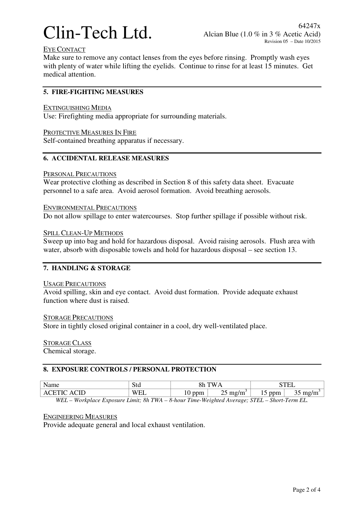

## EYE CONTACT

Make sure to remove any contact lenses from the eyes before rinsing. Promptly wash eyes with plenty of water while lifting the eyelids. Continue to rinse for at least 15 minutes. Get medical attention.

## **5. FIRE-FIGHTING MEASURES**

### EXTINGUISHING MEDIA

Use: Firefighting media appropriate for surrounding materials.

PROTECTIVE MEASURES IN FIRE

Self-contained breathing apparatus if necessary.

# **6. ACCIDENTAL RELEASE MEASURES**

### PERSONAL PRECAUTIONS

Wear protective clothing as described in Section 8 of this safety data sheet. Evacuate personnel to a safe area. Avoid aerosol formation. Avoid breathing aerosols.

ENVIRONMENTAL PRECAUTIONS

Do not allow spillage to enter watercourses. Stop further spillage if possible without risk.

### SPILL CLEAN-UP METHODS

Sweep up into bag and hold for hazardous disposal. Avoid raising aerosols. Flush area with water, absorb with disposable towels and hold for hazardous disposal – see section 13.

## **7. HANDLING & STORAGE**

### USAGE PRECAUTIONS

Avoid spilling, skin and eye contact. Avoid dust formation. Provide adequate exhaust function where dust is raised.

### STORAGE PRECAUTIONS

Store in tightly closed original container in a cool, dry well-ventilated place.

STORAGE CLASS Chemical storage.

### **8. EXPOSURE CONTROLS / PERSONAL PROTECTION**

| Name                      | $\alpha_{\perp}$<br>ou                                  | Q <sub>h</sub>                    | A.<br>. .                 |                                                                   | $- - - -$<br>اسلامت |
|---------------------------|---------------------------------------------------------|-----------------------------------|---------------------------|-------------------------------------------------------------------|---------------------|
|                           | A.<br>--                                                | $\ddotsc$                         | $\overline{\ }$<br>ma<br> | nnm<br>ונוע<br>∸                                                  | mc<br>1116<br>ັ     |
| $   -$<br>$  -$<br>$\sim$ | $\sim$ $\sim$ $\sim$ $\sim$ $\sim$ $\sim$ $\sim$<br>. . | $  -$<br>$\sim$<br>$\sim$ $\cdot$ |                           | $\sim$ $\sim$<br>$\sim$ $\sim$ $\sim$<br>$\overline{\phantom{a}}$ | $\sim$              |

*WEL – Workplace Exposure Limit; 8h TWA – 8-hour Time-Weighted Average; STEL – Short-Term EL.* 

### ENGINEERING MEASURES

Provide adequate general and local exhaust ventilation.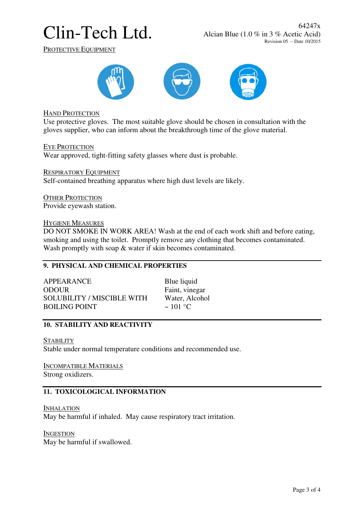PROTECTIVE EQUIPMENT



HAND PROTECTION

Use protective gloves. The most suitable glove should be chosen in consultation with the gloves supplier, who can inform about the breakthrough time of the glove material.

EYE PROTECTION

Wear approved, tight-fitting safety glasses where dust is probable.

RESPIRATORY EQUIPMENT Self-contained breathing apparatus where high dust levels are likely.

OTHER PROTECTION Provide eyewash station.

### HYGIENE MEASURES

DO NOT SMOKE IN WORK AREA! Wash at the end of each work shift and before eating, smoking and using the toilet. Promptly remove any clothing that becomes contaminated. Wash promptly with soap  $\&$  water if skin becomes contaminated.

## **9. PHYSICAL AND CHEMICAL PROPERTIES**

APPEARANCE Blue liquid ODOUR Faint, vinegar SOLUBILITY / MISCIBLE WITH Water, Alcohol<br>ROILING POINT  $\approx 101 \degree C$ BOILING POINT

## **10. STABILITY AND REACTIVITY**

**STABILITY** Stable under normal temperature conditions and recommended use.

INCOMPATIBLE MATERIALS Strong oxidizers.

## **11. TOXICOLOGICAL INFORMATION**

INHALATION May be harmful if inhaled. May cause respiratory tract irritation.

**INGESTION** May be harmful if swallowed.